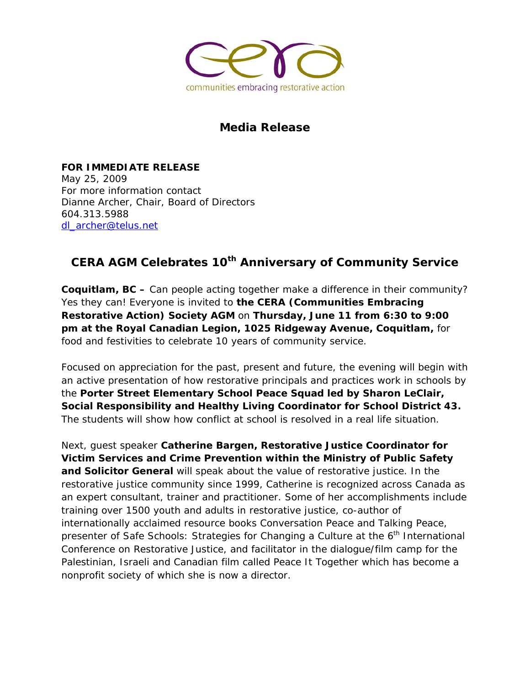

## **Media Release**

**FOR IMMEDIATE RELEASE**  May 25, 2009 For more information contact Dianne Archer, Chair, Board of Directors 604.313.5988 dl\_archer@telus.net

## **CERA AGM Celebrates 10th Anniversary of Community Service**

**Coquitlam, BC –** Can people acting together make a difference in their community? Yes they can! Everyone is invited to **the CERA (Communities Embracing Restorative Action) Society AGM** on **Thursday, June 11 from 6:30 to 9:00 pm at the Royal Canadian Legion, 1025 Ridgeway Avenue, Coquitlam,** for food and festivities to celebrate 10 years of community service.

Focused on appreciation for the past, present and future, the evening will begin with an active presentation of how restorative principals and practices work in schools by the **Porter Street Elementary School Peace Squad led by Sharon LeClair, Social Responsibility and Healthy Living Coordinator for School District 43.**  The students will show how conflict at school is resolved in a real life situation.

Next, guest speaker **Catherine Bargen, Restorative Justice Coordinator for Victim Services and Crime Prevention within the Ministry of Public Safety and Solicitor General** will speak about the value of restorative justice. In the restorative justice community since 1999, Catherine is recognized across Canada as an expert consultant, trainer and practitioner. Some of her accomplishments include training over 1500 youth and adults in restorative justice, co-author of internationally acclaimed resource books Conversation Peace and Talking Peace, presenter of Safe Schools: Strategies for Changing a Culture at the  $6<sup>th</sup>$  International Conference on Restorative Justice, and facilitator in the dialogue/film camp for the Palestinian, Israeli and Canadian film called Peace It Together which has become a nonprofit society of which she is now a director.